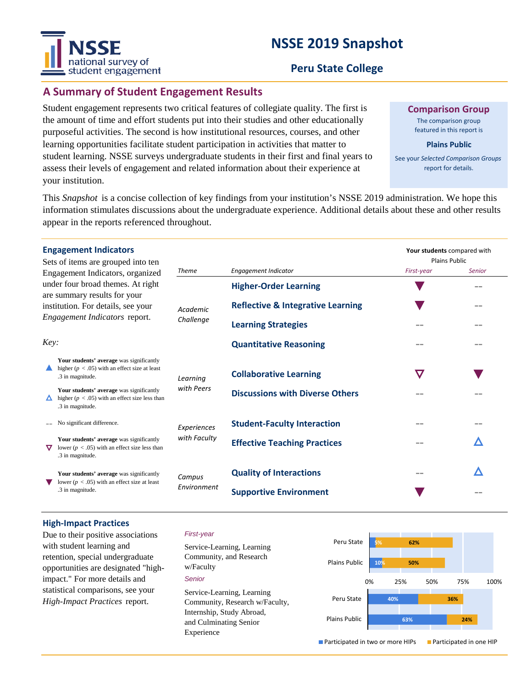# **NSSE 2019 Snapshot**



### **Peru State College**

# **A Summary of Student Engagement Results**

Student engagement represents two critical features of collegiate quality. The first is the amount of time and effort students put into their studies and other educationally purposeful activities. The second is how institutional resources, courses, and other learning opportunities facilitate student participation in activities that matter to student learning. NSSE surveys undergraduate students in their first and final years to assess their levels of engagement and related information about their experience at your institution.

**Comparison Group**

The comparison group featured in this report is

#### **Plains Public**

See your *Selected Comparison Groups*  report for details.

**Your students** compared with

This *Snapshot* is a concise collection of key findings from your institution's NSSE 2019 administration. We hope this information stimulates discussions about the undergraduate experience. Additional details about these and other results appear in the reports referenced throughout.

#### **Engagement Indicators**

| Sets of items are grouped into ten<br>Engagement Indicators, organized<br>under four broad themes. At right<br>are summary results for your<br>institution. For details, see your<br>Engagement Indicators report. |                                                                                                                    |                             |                                              | <b>Plains Public</b> |               |
|--------------------------------------------------------------------------------------------------------------------------------------------------------------------------------------------------------------------|--------------------------------------------------------------------------------------------------------------------|-----------------------------|----------------------------------------------|----------------------|---------------|
|                                                                                                                                                                                                                    |                                                                                                                    | <b>Theme</b>                | <b>Engagement Indicator</b>                  | First-year           | <b>Senior</b> |
|                                                                                                                                                                                                                    |                                                                                                                    | Academic<br>Challenge       | <b>Higher-Order Learning</b>                 |                      |               |
|                                                                                                                                                                                                                    |                                                                                                                    |                             | <b>Reflective &amp; Integrative Learning</b> |                      |               |
|                                                                                                                                                                                                                    |                                                                                                                    |                             | <b>Learning Strategies</b>                   |                      | --            |
| Key:                                                                                                                                                                                                               |                                                                                                                    |                             | <b>Quantitative Reasoning</b>                |                      | --            |
|                                                                                                                                                                                                                    | Your students' average was significantly<br>higher ( $p < .05$ ) with an effect size at least<br>.3 in magnitude.  | Learning<br>with Peers      | <b>Collaborative Learning</b>                | $\bm{\nabla}$        |               |
|                                                                                                                                                                                                                    | Your students' average was significantly<br>higher ( $p < .05$ ) with an effect size less than<br>.3 in magnitude. |                             | <b>Discussions with Diverse Others</b>       |                      |               |
|                                                                                                                                                                                                                    | No significant difference.                                                                                         | Experiences<br>with Faculty | <b>Student-Faculty Interaction</b>           |                      | --            |
| ▽                                                                                                                                                                                                                  | Your students' average was significantly<br>lower ( $p < .05$ ) with an effect size less than<br>.3 in magnitude.  |                             | <b>Effective Teaching Practices</b>          | --                   |               |
|                                                                                                                                                                                                                    | Your students' average was significantly<br>lower ( $p < .05$ ) with an effect size at least<br>.3 in magnitude.   | Campus<br>Environment       | <b>Quality of Interactions</b>               | $- -$                | Δ             |
|                                                                                                                                                                                                                    |                                                                                                                    |                             | <b>Supportive Environment</b>                |                      |               |

#### **High-Impact Practices**

Due to their positive associations with student learning and retention, special undergraduate opportunities are designated "highimpact." For more details and statistical comparisons, see your *High-Impact Practices* report.

#### *First-year*

*Senior* Service-Learning, Learning Community, and Research w/Faculty Service-Learning, Learning Community, Research w/Faculty, Internship, Study Abroad, and Culminating Senior Experience



**Participated in two or more HIPs Participated in one HIP**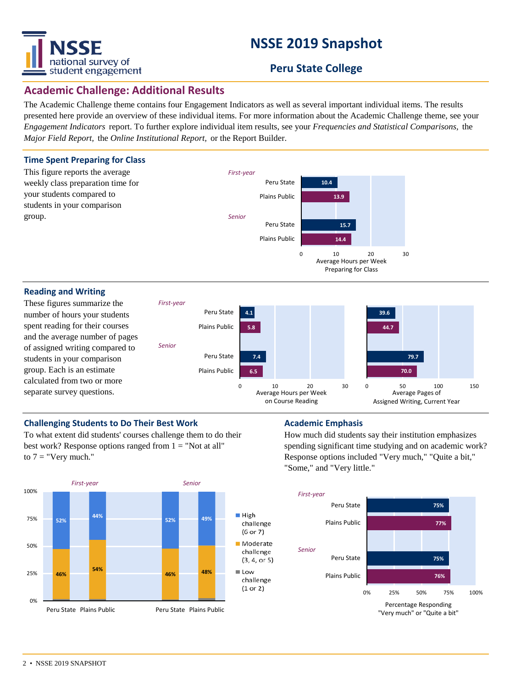

# **NSSE 2019 Snapshot**

# **Peru State College**

# **Academic Challenge: Additional Results**

The Academic Challenge theme contains four Engagement Indicators as well as several important individual items. The results presented here provide an overview of these individual items. For more information about the Academic Challenge theme, see your *Engagement Indicators* report. To further explore individual item results, see your *Frequencies and Statistical Comparisons,* the *Major Field Report,* the *Online Institutional Report,* or the Report Builder.



### separate survey questions.

on Course Reading

#### **Challenging Students to Do Their Best Work <b>Academic Emphasis Academic Emphasis**

To what extent did students' courses challenge them to do their best work? Response options ranged from  $1 = "Not at all"$ to  $7 =$  "Very much."



How much did students say their institution emphasizes spending significant time studying and on academic work? Response options included "Very much," "Quite a bit," "Some," and "Very little."

Assigned Writing, Current Year

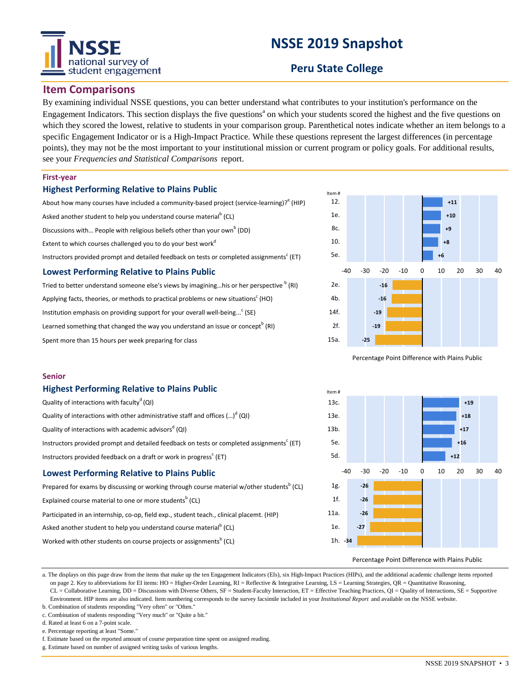# national survey of student engagement

# **NSSE 2019 Snapshot**

# **Peru State College**

#### **Item Comparisons**

By examining individual NSSE questions, you can better understand what contributes to your institution's performance on the Engagement Indicators. This section displays the five questions<sup>a</sup> on which your students scored the highest and the five questions on which they scored the lowest, relative to students in your comparison group. Parenthetical notes indicate whether an item belongs to a specific Engagement Indicator or is a High-Impact Practice. While these questions represent the largest differences (in percentage points), they may not be the most important to your institutional mission or current program or policy goals. For additional results, see your *Frequencies and Statistical Comparisons* report.

#### **First-year**

**Senior**

#### **Highest Performing Relative to Plains Public**

**Highest Performing Relative to Plains Public**

Instructors provided feedback on a draft or work in progress<sup>c</sup> (ET) **Lowest Performing Relative to Plains Public**

Asked another student to help you understand course material<sup>b</sup> (CL) Worked with other students on course projects or assignments $^{\text{\tiny{\text{b}}}}$  (CL)

Quality of interactions with other administrative staff and offices (...)<sup>d</sup> (QI)

Quality of interactions with faculty<sup>d</sup> (QI)

Quality of interactions with academic advisors<sup>d</sup> (QI)

Explained course material to one or more students<sup>b</sup> (CL)

| About how many courses have included a community-based project (service-learning)? (HIP)              |  |  |  |  |  |  |
|-------------------------------------------------------------------------------------------------------|--|--|--|--|--|--|
| Asked another student to help you understand course material <sup>b</sup> (CL)                        |  |  |  |  |  |  |
| Discussions with People with religious beliefs other than your own <sup>b</sup> (DD)                  |  |  |  |  |  |  |
| Extent to which courses challenged you to do your best work <sup>d</sup>                              |  |  |  |  |  |  |
| Instructors provided prompt and detailed feedback on tests or completed assignments <sup>c</sup> (ET) |  |  |  |  |  |  |
| <b>Lowest Performing Relative to Plains Public</b>                                                    |  |  |  |  |  |  |

Tried to better understand someone else's views by imagining...his or her perspective <sup>b</sup> (RI) Applying facts, theories, or methods to practical problems or new situations<sup>c</sup> (HO) Institution emphasis on providing support for your overall well-being...<sup>c</sup> (SE) Learned something that changed the way you understand an issue or concept<sup>b</sup> (RI) Spent more than 15 hours per week preparing for class

Instructors provided prompt and detailed feedback on tests or completed assignments<sup>c</sup> (ET)

Prepared for exams by discussing or working through course material w/other students<sup>b</sup> (CL)

Participated in an internship, co-op, field exp., student teach., clinical placemt. (HIP)



Percentage Point Difference with Plains Public



Percentage Point Difference with Plains Public

a. The displays on this page draw from the items that make up the ten Engagement Indicators (EIs), six High-Impact Practices (HIPs), and the additional academic challenge items reported on page 2. Key to abbreviations for EI items: HO = Higher-Order Learning, RI = Reflective & Integrative Learning, LS = Learning Strategies, QR = Quantitative Reasoning, CL = Collaborative Learning, DD = Discussions with Diverse Others, SF = Student-Faculty Interaction, ET = Effective Teaching Practices, QI = Quality of Interactions, SE = Supportive Environment. HIP items are also indicated. Item numbering corresponds to the survey facsimile included in your *Institutional Report* and available on the NSSE website.

b. Combination of students responding "Very often" or "Often." c. Combination of students responding "Very much" or "Quite a bit."

d. Rated at least 6 on a 7-point scale.

e. Percentage reporting at least "Some."

f. Estimate based on the reported amount of course preparation time spent on assigned reading.

g. Estimate based on number of assigned writing tasks of various lengths.